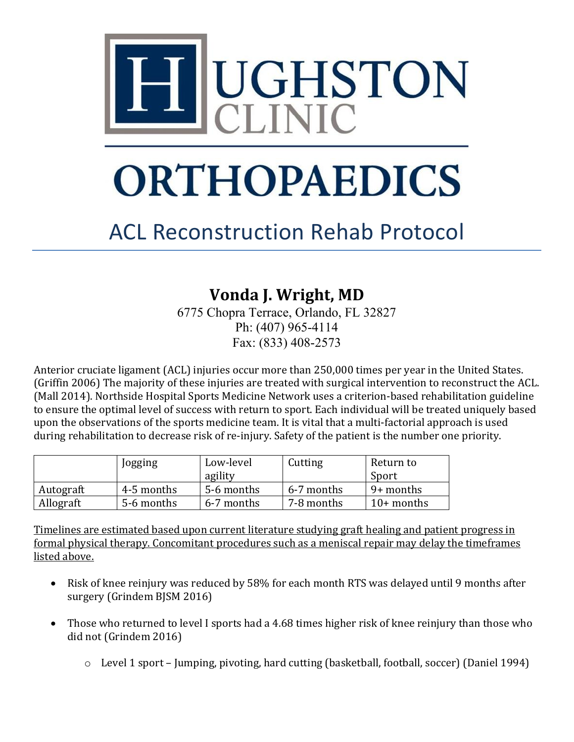

# **ORTHOPAEDICS**

# ACL Reconstruction Rehab Protocol

## **Vonda J. Wright, MD**

6775 Chopra Terrace, Orlando, FL 32827 Ph: (407) 965-4114 Fax: (833) 408-2573

Anterior cruciate ligament (ACL) injuries occur more than 250,000 times per year in the United States. (Griffin 2006) The majority of these injuries are treated with surgical intervention to reconstruct the ACL. (Mall 2014). Northside Hospital Sports Medicine Network uses a criterion-based rehabilitation guideline to ensure the optimal level of success with return to sport. Each individual will be treated uniquely based upon the observations of the sports medicine team. It is vital that a multi-factorial approach is used during rehabilitation to decrease risk of re-injury. Safety of the patient is the number one priority.

|           | Jogging    | Low-level  | Cutting    | Return to    |  |
|-----------|------------|------------|------------|--------------|--|
|           |            | agility    |            | Sport        |  |
| Autograft | 4-5 months | 5-6 months | 6-7 months | 9+ months    |  |
| Allograft | 5-6 months | 6-7 months | 7-8 months | $10+$ months |  |

Timelines are estimated based upon current literature studying graft healing and patient progress in formal physical therapy. Concomitant procedures such as a meniscal repair may delay the timeframes listed above.

- Risk of knee reinjury was reduced by 58% for each month RTS was delayed until 9 months after surgery (Grindem BJSM 2016)
- Those who returned to level I sports had a 4.68 times higher risk of knee reinjury than those who did not (Grindem 2016)
	- o Level 1 sport Jumping, pivoting, hard cutting (basketball, football, soccer) (Daniel 1994)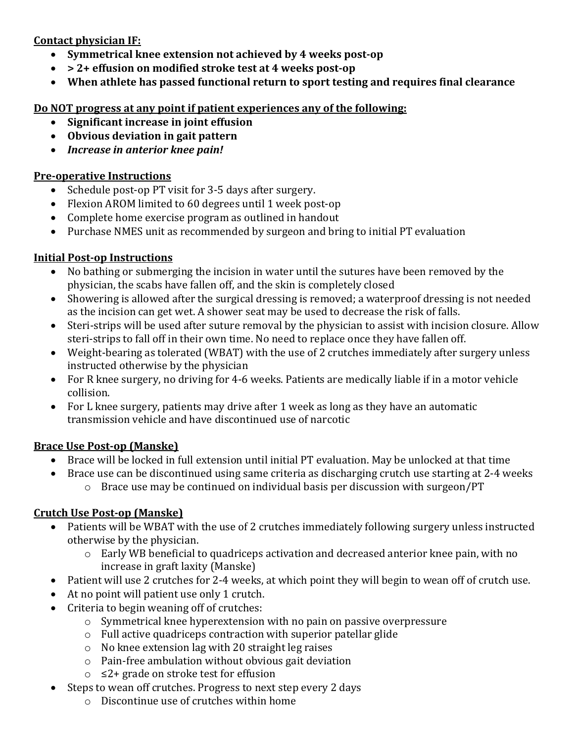#### **Contact physician IF:**

- **Symmetrical knee extension not achieved by 4 weeks post-op**
- **> 2+ effusion on modified stroke test at 4 weeks post-op**
- **When athlete has passed functional return to sport testing and requires final clearance**

#### **Do NOT progress at any point if patient experiences any of the following:**

- **Significant increase in joint effusion**
- **Obvious deviation in gait pattern**
- *Increase in anterior knee pain!*

#### **Pre-operative Instructions**

- Schedule post-op PT visit for 3-5 days after surgery.
- Flexion AROM limited to 60 degrees until 1 week post-op
- Complete home exercise program as outlined in handout
- Purchase NMES unit as recommended by surgeon and bring to initial PT evaluation

#### **Initial Post-op Instructions**

- No bathing or submerging the incision in water until the sutures have been removed by the physician, the scabs have fallen off, and the skin is completely closed
- Showering is allowed after the surgical dressing is removed; a waterproof dressing is not needed as the incision can get wet. A shower seat may be used to decrease the risk of falls.
- Steri-strips will be used after suture removal by the physician to assist with incision closure. Allow steri-strips to fall off in their own time. No need to replace once they have fallen off.
- Weight-bearing as tolerated (WBAT) with the use of 2 crutches immediately after surgery unless instructed otherwise by the physician
- For R knee surgery, no driving for 4-6 weeks. Patients are medically liable if in a motor vehicle collision.
- For L knee surgery, patients may drive after 1 week as long as they have an automatic transmission vehicle and have discontinued use of narcotic

#### **Brace Use Post-op (Manske)**

- Brace will be locked in full extension until initial PT evaluation. May be unlocked at that time
- Brace use can be discontinued using same criteria as discharging crutch use starting at 2-4 weeks o Brace use may be continued on individual basis per discussion with surgeon/PT

#### **Crutch Use Post-op (Manske)**

- Patients will be WBAT with the use of 2 crutches immediately following surgery unless instructed otherwise by the physician.
	- o Early WB beneficial to quadriceps activation and decreased anterior knee pain, with no increase in graft laxity (Manske)
- Patient will use 2 crutches for 2-4 weeks, at which point they will begin to wean off of crutch use.
- At no point will patient use only 1 crutch.
- Criteria to begin weaning off of crutches:
	- o Symmetrical knee hyperextension with no pain on passive overpressure
	- o Full active quadriceps contraction with superior patellar glide
	- o No knee extension lag with 20 straight leg raises
	- o Pain-free ambulation without obvious gait deviation
	- o ≤2+ grade on stroke test for effusion
- Steps to wean off crutches. Progress to next step every 2 days
	- o Discontinue use of crutches within home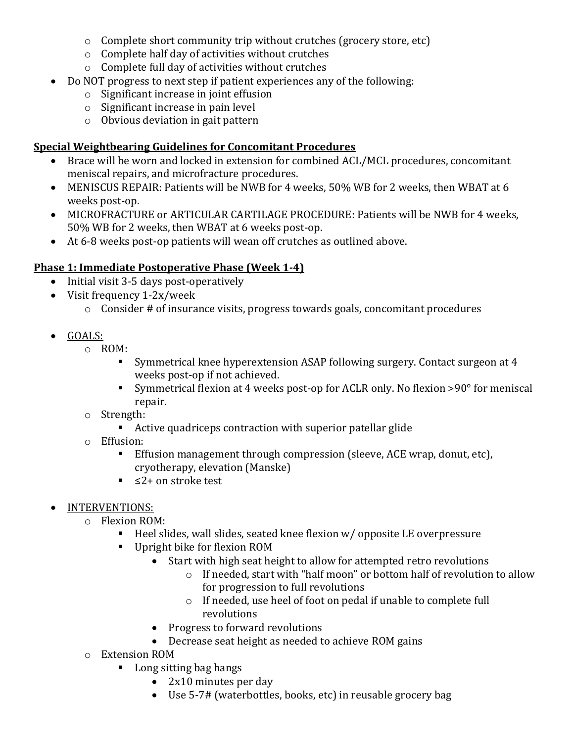- o Complete short community trip without crutches (grocery store, etc)
- o Complete half day of activities without crutches
- o Complete full day of activities without crutches
- Do NOT progress to next step if patient experiences any of the following:
	- o Significant increase in joint effusion
	- o Significant increase in pain level
	- o Obvious deviation in gait pattern

#### **Special Weightbearing Guidelines for Concomitant Procedures**

- Brace will be worn and locked in extension for combined ACL/MCL procedures, concomitant meniscal repairs, and microfracture procedures.
- MENISCUS REPAIR: Patients will be NWB for 4 weeks, 50% WB for 2 weeks, then WBAT at 6 weeks post-op.
- MICROFRACTURE or ARTICULAR CARTILAGE PROCEDURE: Patients will be NWB for 4 weeks, 50% WB for 2 weeks, then WBAT at 6 weeks post-op.
- At 6-8 weeks post-op patients will wean off crutches as outlined above.

#### **Phase 1: Immediate Postoperative Phase (Week 1-4)**

- Initial visit 3-5 days post-operatively
- Visit frequency 1-2x/week
	- o Consider # of insurance visits, progress towards goals, concomitant procedures
- GOALS:
	- $\circ$  ROM:
		- Symmetrical knee hyperextension ASAP following surgery. Contact surgeon at 4 weeks post-op if not achieved.
		- Symmetrical flexion at 4 weeks post-op for ACLR only. No flexion >90° for meniscal repair.
	- o Strength:
		- Active quadriceps contraction with superior patellar glide
	- o Effusion:
		- Effusion management through compression (sleeve, ACE wrap, donut, etc), cryotherapy, elevation (Manske)
		- ≤2+ on stroke test
- INTERVENTIONS:
	- o Flexion ROM:
		- Heel slides, wall slides, seated knee flexion  $w/$  opposite LE overpressure<br>Unright bike for flexion ROM
		- Upright bike for flexion ROM
			- Start with high seat height to allow for attempted retro revolutions
				- o If needed, start with "half moon" or bottom half of revolution to allow for progression to full revolutions
				- o If needed, use heel of foot on pedal if unable to complete full revolutions
			- Progress to forward revolutions
			- Decrease seat height as needed to achieve ROM gains
	- o Extension ROM
		- **Long sitting bag hangs** 
			- 2x10 minutes per day
			- Use 5-7# (waterbottles, books, etc) in reusable grocery bag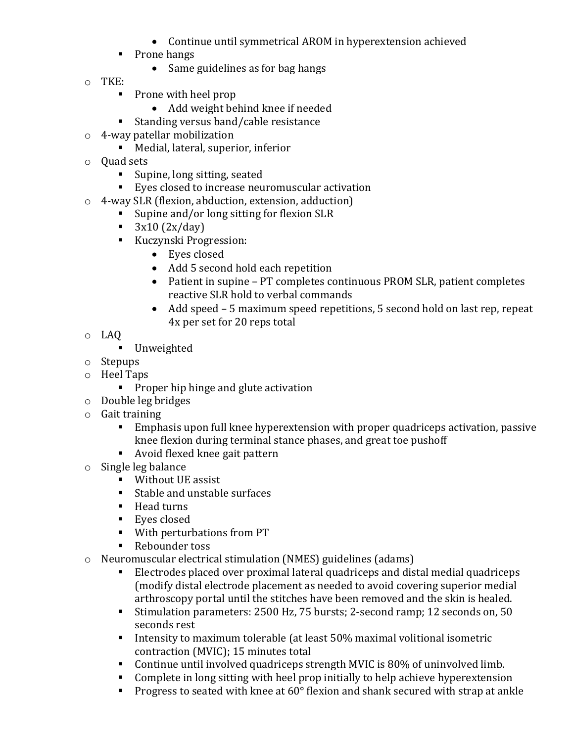- Continue until symmetrical AROM in hyperextension achieved
- Prone hangs
	- Same guidelines as for bag hangs
- o TKE:
	- Prone with heel prop
		- Add weight behind knee if needed
	- Standing versus band/cable resistance
- o 4-way patellar mobilization
	- Medial, lateral, superior, inferior
- o Quad sets
	- Supine, long sitting, seated
	- Eyes closed to increase neuromuscular activation
- $\circ$  4-way SLR (flexion, abduction, extension, adduction)<br>Suppose and/or long sitting for flexion SLR
	- Supine and/or long sitting for flexion SLR<br> $\overline{3x10}$  (2x/dav)
	- 3x10 (2x/day)<br>■ Kuczynski Prog
	- Kuczynski Progression:
		- Eyes closed
		- Add 5 second hold each repetition
		- Patient in supine PT completes continuous PROM SLR, patient completes reactive SLR hold to verbal commands
		- Add speed 5 maximum speed repetitions, 5 second hold on last rep, repeat 4x per set for 20 reps total
- o LAQ
	- **Unweighted**
- o Stepups
- o Heel Taps
	- **Proper hip hinge and glute activation**
- o Double leg bridges
- o Gait training
	- Emphasis upon full knee hyperextension with proper quadriceps activation, passive knee flexion during terminal stance phases, and great toe pushoff
	- Avoid flexed knee gait pattern
- o Single leg balance
	- Without UE assist
	- **Stable and unstable surfaces**
	- Head turns
	- **Eyes closed**
	- With perturbations from PT
	- Rebounder toss
- o Neuromuscular electrical stimulation (NMES) guidelines (adams)
	- Electrodes placed over proximal lateral quadriceps and distal medial quadriceps (modify distal electrode placement as needed to avoid covering superior medial arthroscopy portal until the stitches have been removed and the skin is healed.
	- Stimulation parameters: 2500 Hz, 75 bursts; 2-second ramp; 12 seconds on, 50 seconds rest
	- Intensity to maximum tolerable (at least 50% maximal volitional isometric contraction (MVIC); 15 minutes total
	- Continue until involved quadriceps strength MVIC is 80% of uninvolved limb.<br>■ Complete in long sitting with heel prop initially to help achieve hyperextension
	- Complete in long sitting with heel prop initially to help achieve hyperextension
	- Progress to seated with knee at 60° flexion and shank secured with strap at ankle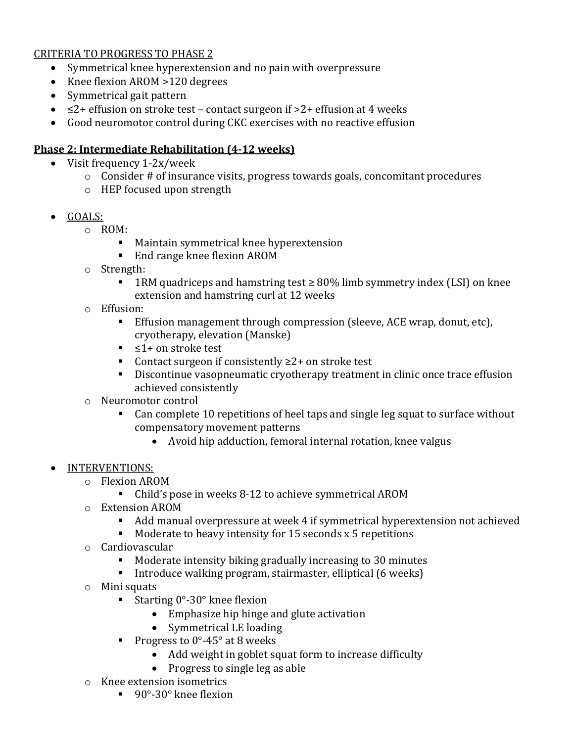#### CRITERIA TO PROGRESS TO PHASE 2

- Symmetrical knee hyperextension and no pain with overpressure
- Knee flexion AROM > 120 degrees
- Symmetrical gait pattern
- $\leq$  2+ effusion on stroke test contact surgeon if  $>$  2+ effusion at 4 weeks
- Good neuromotor control during CKC exercises with no reactive effusion

#### **Phase 2: Intermediate Rehabilitation (4-12 weeks)**

- Visit frequency 1-2x/week
	- o Consider # of insurance visits, progress towards goals, concomitant procedures
	- o HEP focused upon strength
- GOALS:
	- $\circ$  ROM:
		- Maintain symmetrical knee hyperextension
		- End range knee flexion AROM
	- o Strength:
		- 1RM quadriceps and hamstring test ≥ 80% limb symmetry index (LSI) on knee extension and hamstring curl at 12 weeks
	- o Effusion:
		- Effusion management through compression (sleeve, ACE wrap, donut, etc), cryotherapy, elevation (Manske)
		- ≤1+ on stroke test
		- Contact surgeon if consistently  $\geq 2+$  on stroke test
		- Discontinue vasopneumatic cryotherapy treatment in clinic once trace effusion achieved consistently
	- o Neuromotor control
		- Can complete 10 repetitions of heel taps and single leg squat to surface without compensatory movement patterns
			- Avoid hip adduction, femoral internal rotation, knee valgus

#### • INTERVENTIONS:

- o Flexion AROM
	- Child's pose in weeks 8-12 to achieve symmetrical AROM
- o Extension AROM
	- Add manual overpressure at week 4 if symmetrical hyperextension not achieved
	- Moderate to heavy intensity for 15 seconds x 5 repetitions
- o Cardiovascular
	- Moderate intensity biking gradually increasing to 30 minutes
	- Introduce walking program, stairmaster, elliptical  $(6 \text{ weeks})$
- o Mini squats
	- Starting  $0^{\circ}$ -30° knee flexion
		- Emphasize hip hinge and glute activation
		- Symmetrical LE loading
	- Progress to  $0^\circ$ -45 $^\circ$  at 8 weeks
		- Add weight in goblet squat form to increase difficulty
		- Progress to single leg as able
- o Knee extension isometrics
	- 90°-30° knee flexion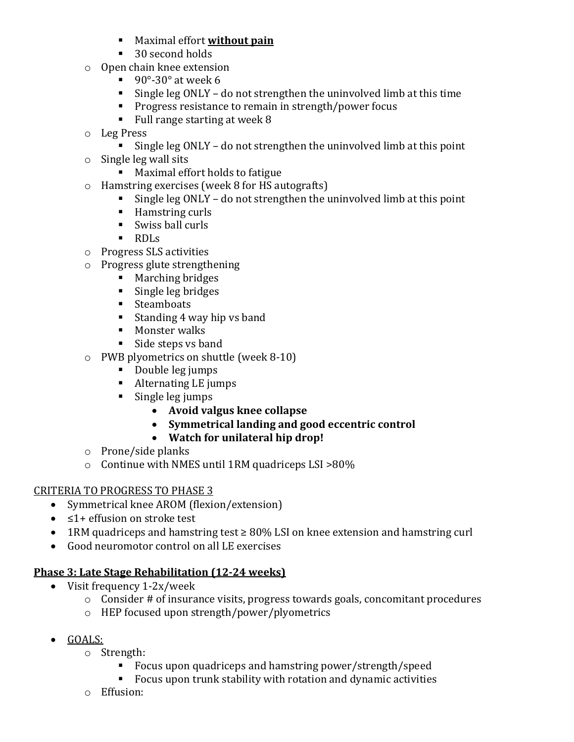- Maximal effort **without pain**
- 30 second holds
- o Open chain knee extension
	- $\blacksquare$  90°-30° at week 6
	- Single leg ONLY do not strengthen the uninvolved limb at this time
	- **Progress resistance to remain in strength/power focus**
	- Full range starting at week 8
- o Leg Press
	- Single leg ONLY do not strengthen the uninvolved limb at this point
- o Single leg wall sits
	- Maximal effort holds to fatigue
- o Hamstring exercises (week 8 for HS autografts)
	- Single leg ONLY do not strengthen the uninvolved limb at this point
	- Hamstring curls
	- Swiss ball curls
	- RDLs
- o Progress SLS activities
- o Progress glute strengthening
	- **Marching bridges**
	- Single leg bridges
	- **Steamboats**
	- Standing 4 way hip vs band
	- **Monster walks**
	- Side steps vs band
- o PWB plyometrics on shuttle (week 8-10)
	- Double leg jumps
	- Alternating LE jumps
	- **Single leg jumps** 
		- **Avoid valgus knee collapse**
		- **Symmetrical landing and good eccentric control**
		- **Watch for unilateral hip drop!**
- o Prone/side planks
- $\circ$  Continue with NMES until 1RM quadriceps LSI >80%

#### CRITERIA TO PROGRESS TO PHASE 3

- Symmetrical knee AROM (flexion/extension)
- ≤1+ effusion on stroke test
- 1RM quadriceps and hamstring test ≥ 80% LSI on knee extension and hamstring curl
- Good neuromotor control on all LE exercises

#### **Phase 3: Late Stage Rehabilitation (12-24 weeks)**

- Visit frequency 1-2x/week
	- o Consider # of insurance visits, progress towards goals, concomitant procedures
	- o HEP focused upon strength/power/plyometrics
- GOALS:
	- $\circ$  Strength:<br> $\blacksquare$  Fo
		- Focus upon quadriceps and hamstring power/strength/speed<br>■ Focus upon trunk stability with rotation and dynamic activities
		- Focus upon trunk stability with rotation and dynamic activities
	- o Effusion: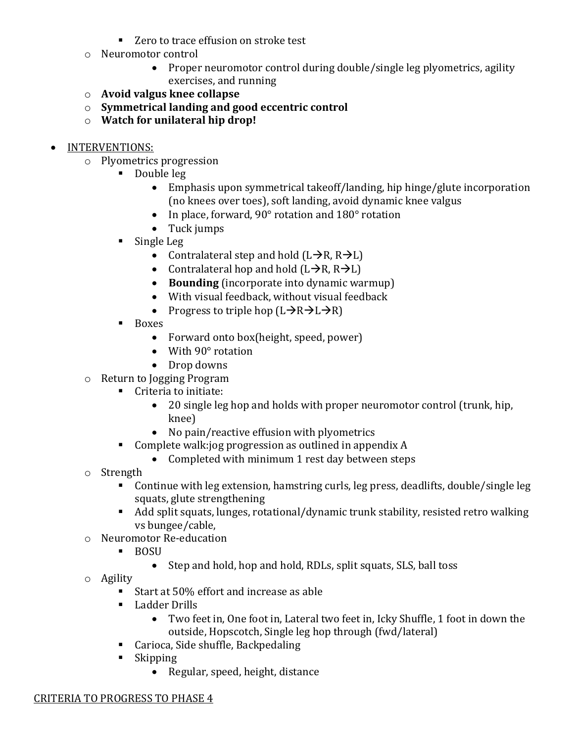- Zero to trace effusion on stroke test
- o Neuromotor control
	- Proper neuromotor control during double/single leg plyometrics, agility exercises, and running
- o **Avoid valgus knee collapse**
- o **Symmetrical landing and good eccentric control**
- o **Watch for unilateral hip drop!**

#### • INTERVENTIONS:

- o Plyometrics progression
	- Double leg
		- Emphasis upon symmetrical takeoff/landing, hip hinge/glute incorporation (no knees over toes), soft landing, avoid dynamic knee valgus
		- In place, forward, 90° rotation and 180° rotation
		- Tuck jumps
	- **Single Leg** 
		- Contralateral step and hold  $(L\rightarrow R, R\rightarrow L)$
		- Contralateral hop and hold  $(L\rightarrow R, R\rightarrow L)$
		- **Bounding** (incorporate into dynamic warmup)
		- With visual feedback, without visual feedback
		- Progress to triple hop  $(L\rightarrow R\rightarrow L\rightarrow R)$
	- **Boxes** 
		- Forward onto box(height, speed, power)
		- With 90° rotation
		- Drop downs
- o Return to Jogging Program
	- Criteria to initiate:
		- 20 single leg hop and holds with proper neuromotor control (trunk, hip, knee)
		- No pain/reactive effusion with plyometrics
	- Complete walk:jog progression as outlined in appendix A
		- Completed with minimum 1 rest day between steps
- o Strength
	- Continue with leg extension, hamstring curls, leg press, deadlifts, double/single leg squats, glute strengthening
	- Add split squats, lunges, rotational/dynamic trunk stability, resisted retro walking vs bungee/cable,
- o Neuromotor Re-education<br>■ ROSII
	- **BOSU** 
		- Step and hold, hop and hold, RDLs, split squats, SLS, ball toss
- o Agility
	- Start at 50% effort and increase as able
	- Ladder Drills
		- Two feet in, One foot in, Lateral two feet in, Icky Shuffle, 1 foot in down the outside, Hopscotch, Single leg hop through (fwd/lateral)
	- Carioca, Side shuffle, Backpedaling<br>■ Skinning
	- Skipping
		- Regular, speed, height, distance

#### CRITERIA TO PROGRESS TO PHASE 4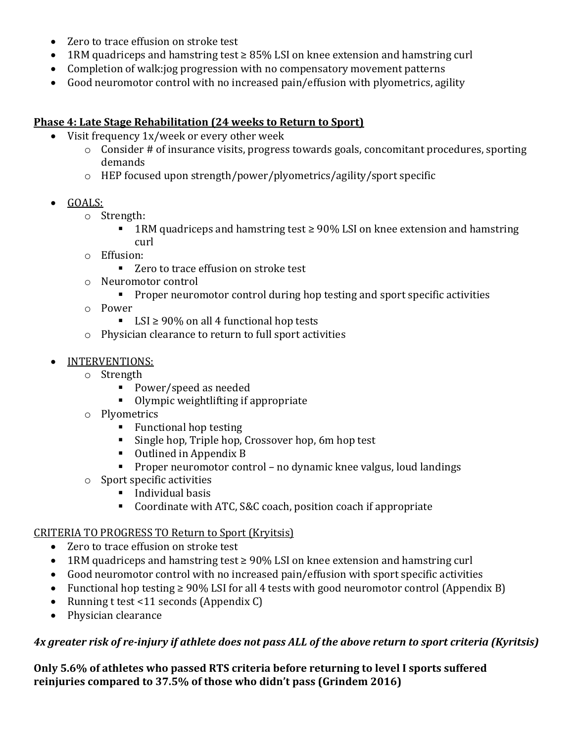- Zero to trace effusion on stroke test
- 1RM quadriceps and hamstring test ≥ 85% LSI on knee extension and hamstring curl
- Completion of walk:jog progression with no compensatory movement patterns
- Good neuromotor control with no increased pain/effusion with plyometrics, agility

#### **Phase 4: Late Stage Rehabilitation (24 weeks to Return to Sport)**

- Visit frequency 1x/week or every other week
	- o Consider # of insurance visits, progress towards goals, concomitant procedures, sporting demands
	- o HEP focused upon strength/power/plyometrics/agility/sport specific
- GOALS:
	- o Strength:
		- 1RM quadriceps and hamstring test ≥ 90% LSI on knee extension and hamstring curl
	- o Effusion:
		- Zero to trace effusion on stroke test
	- o Neuromotor control
		- **Proper neuromotor control during hop testing and sport specific activities**
	- o Power
		- LSI  $\geq 90\%$  on all 4 functional hop tests
	- o Physician clearance to return to full sport activities
- INTERVENTIONS:
	- o Strength
		- Power/speed as needed
		- Olympic weightlifting if appropriate
	- o Plyometrics
		- Functional hop testing
		- **Single hop, Triple hop, Crossover hop, 6m hop test**
		- Outlined in Appendix B
		- **Proper neuromotor control no dynamic knee valgus, loud landings**
	- o Sport specific activities
		- Individual basis
		- Coordinate with ATC, S&C coach, position coach if appropriate

#### CRITERIA TO PROGRESS TO Return to Sport (Kryitsis)

- Zero to trace effusion on stroke test
- 1RM quadriceps and hamstring test ≥ 90% LSI on knee extension and hamstring curl
- Good neuromotor control with no increased pain/effusion with sport specific activities
- Functional hop testing ≥ 90% LSI for all 4 tests with good neuromotor control (Appendix B)
- Running t test <11 seconds (Appendix C)
- Physician clearance

#### *4x greater risk of re-injury if athlete does not pass ALL of the above return to sport criteria (Kyritsis)*

**Only 5.6% of athletes who passed RTS criteria before returning to level I sports suffered reinjuries compared to 37.5% of those who didn't pass (Grindem 2016)**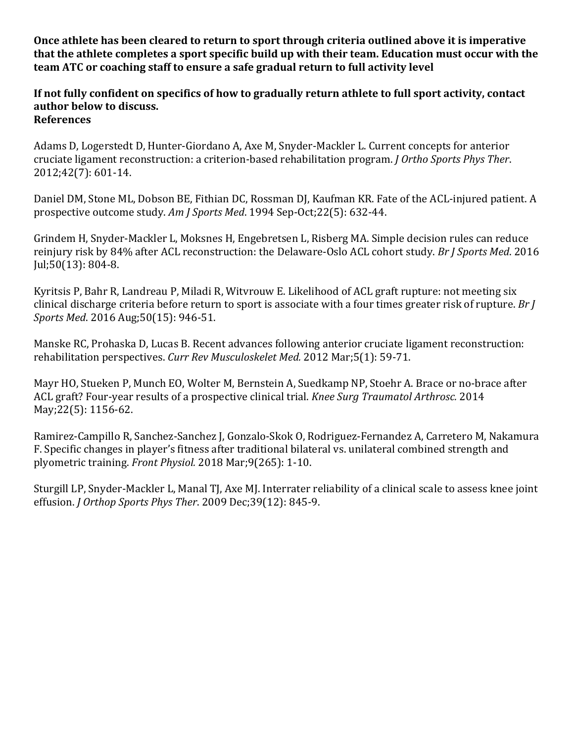**Once athlete has been cleared to return to sport through criteria outlined above it is imperative that the athlete completes a sport specific build up with their team. Education must occur with the team ATC or coaching staff to ensure a safe gradual return to full activity level**

**If not fully confident on specifics of how to gradually return athlete to full sport activity, contact author below to discuss. References**

Adams D, Logerstedt D, Hunter-Giordano A, Axe M, Snyder-Mackler L. Current concepts for anterior cruciate ligament reconstruction: a criterion-based rehabilitation program. *J Ortho Sports Phys Ther*. 2012;42(7): 601-14.

Daniel DM, Stone ML, Dobson BE, Fithian DC, Rossman DJ, Kaufman KR. Fate of the ACL-injured patient. A prospective outcome study. *Am J Sports Med*. 1994 Sep-Oct;22(5): 632-44.

Grindem H, Snyder-Mackler L, Moksnes H, Engebretsen L, Risberg MA. Simple decision rules can reduce reinjury risk by 84% after ACL reconstruction: the Delaware-Oslo ACL cohort study. *Br J Sports Med*. 2016 Jul;50(13): 804-8.

Kyritsis P, Bahr R, Landreau P, Miladi R, Witvrouw E. Likelihood of ACL graft rupture: not meeting six clinical discharge criteria before return to sport is associate with a four times greater risk of rupture. *Br J Sports Med*. 2016 Aug;50(15): 946-51.

Manske RC, Prohaska D, Lucas B. Recent advances following anterior cruciate ligament reconstruction: rehabilitation perspectives. *Curr Rev Musculoskelet Med.* 2012 Mar;5(1): 59-71.

Mayr HO, Stueken P, Munch EO, Wolter M, Bernstein A, Suedkamp NP, Stoehr A. Brace or no-brace after ACL graft? Four-year results of a prospective clinical trial. *Knee Surg Traumatol Arthrosc.* 2014 May;22(5): 1156-62.

Ramirez-Campillo R, Sanchez-Sanchez J, Gonzalo-Skok O, Rodriguez-Fernandez A, Carretero M, Nakamura F. Specific changes in player's fitness after traditional bilateral vs. unilateral combined strength and plyometric training. *Front Physiol.* 2018 Mar;9(265): 1-10.

Sturgill LP, Snyder-Mackler L, Manal TJ, Axe MJ. Interrater reliability of a clinical scale to assess knee joint effusion. *J Orthop Sports Phys Ther*. 2009 Dec;39(12): 845-9.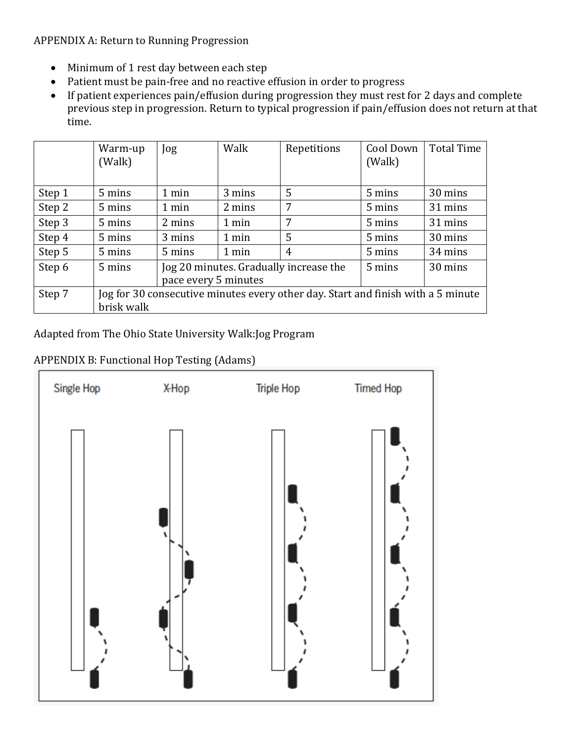APPENDIX A: Return to Running Progression

- Minimum of 1 rest day between each step
- Patient must be pain-free and no reactive effusion in order to progress
- If patient experiences pain/effusion during progression they must rest for 2 days and complete previous step in progression. Return to typical progression if pain/effusion does not return at that time.

|        | Warm-up<br>(Walk)                                                                              | Jog                  | Walk                                   | Repetitions | Cool Down<br>(Walk) | <b>Total Time</b> |  |  |
|--------|------------------------------------------------------------------------------------------------|----------------------|----------------------------------------|-------------|---------------------|-------------------|--|--|
| Step 1 | 5 mins                                                                                         | 1 min                | 3 mins                                 | 5           | 5 mins              | 30 mins           |  |  |
| Step 2 | 5 mins                                                                                         | 1 min                | 2 mins                                 | 7           | 5 mins              | 31 mins           |  |  |
| Step 3 | 5 mins                                                                                         | 2 mins               | 1 min                                  | 7           | 5 mins              | 31 mins           |  |  |
| Step 4 | 5 mins                                                                                         | 3 mins               | 1 min                                  | 5           | 5 mins              | 30 mins           |  |  |
| Step 5 | 5 mins                                                                                         | 5 mins               | 1 min                                  | 4           | 5 mins              | 34 mins           |  |  |
| Step 6 | 5 mins                                                                                         | pace every 5 minutes | Jog 20 minutes. Gradually increase the | 5 mins      | 30 mins             |                   |  |  |
| Step 7 | Jog for 30 consecutive minutes every other day. Start and finish with a 5 minute<br>brisk walk |                      |                                        |             |                     |                   |  |  |

Adapted from The Ohio State University Walk:Jog Program